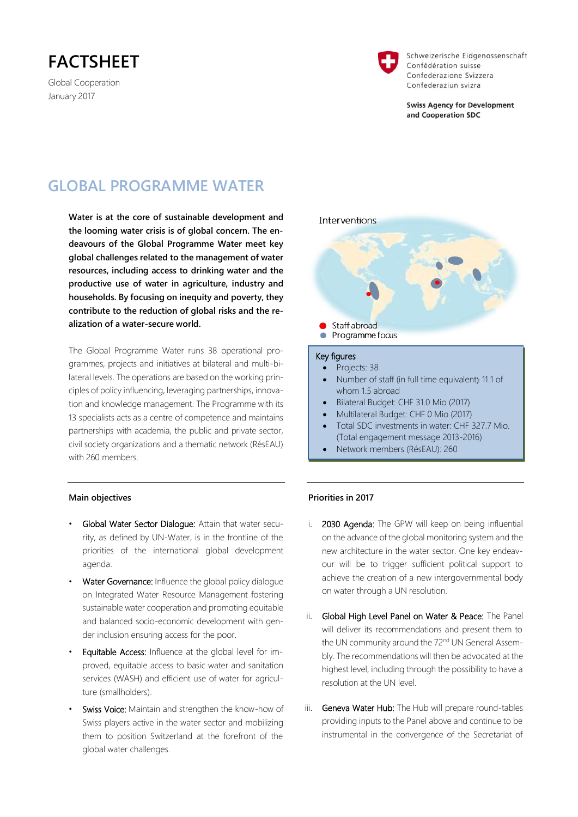# **FACTSHEET**

Global Cooperation January 2017



Schweizerische Eidgenossenschaft Confédération suisse Confederazione Svizzera Confederaziun svizra

**Swiss Agency for Development** and Cooperation SDC

# **GLOBAL PROGRAMME WATER**

**Water is at the core of sustainable development and the looming water crisis is of global concern. The endeavours of the Global Programme Water meet key global challenges related to the management of water resources, including access to drinking water and the productive use of water in agriculture, industry and households. By focusing on inequity and poverty, they contribute to the reduction of global risks and the realization of a water-secure world.**

The Global Programme Water runs 38 operational programmes, projects and initiatives at bilateral and multi-bilateral levels. The operations are based on the working principles of policy influencing, leveraging partnerships, innovation and knowledge management. The Programme with its 13 specialists acts as a centre of competence and maintains partnerships with academia, the public and private sector, civil society organizations and a thematic network (RésEAU) with 260 members.



- Multilateral Budget: CHF 0 Mio (2017)
- Total SDC investments in water: CHF 327.7 Mio. (Total engagement message 2013-2016)
- Network members (RésEAU): 260

#### **Main objectives**

- Global Water Sector Dialogue: Attain that water security, as defined by UN-Water, is in the frontline of the priorities of the international global development agenda.
- Water Governance: Influence the global policy dialogue on Integrated Water Resource Management fostering sustainable water cooperation and promoting equitable and balanced socio-economic development with gender inclusion ensuring access for the poor.
- Equitable Access: Influence at the global level for improved, equitable access to basic water and sanitation services (WASH) and efficient use of water for agriculture (smallholders).
- Swiss Voice: Maintain and strengthen the know-how of Swiss players active in the water sector and mobilizing them to position Switzerland at the forefront of the global water challenges.

### **Priorities in 2017**

ï

- i. 2030 Agenda: The GPW will keep on being influential on the advance of the global monitoring system and the new architecture in the water sector. One key endeavour will be to trigger sufficient political support to achieve the creation of a new intergovernmental body on water through a UN resolution.
- ii. Global High Level Panel on Water & Peace: The Panel will deliver its recommendations and present them to the UN community around the 72<sup>nd</sup> UN General Assembly. The recommendations will then be advocated at the highest level, including through the possibility to have a resolution at the UN level.
- iii. Geneva Water Hub: The Hub will prepare round-tables providing inputs to the Panel above and continue to be instrumental in the convergence of the Secretariat of